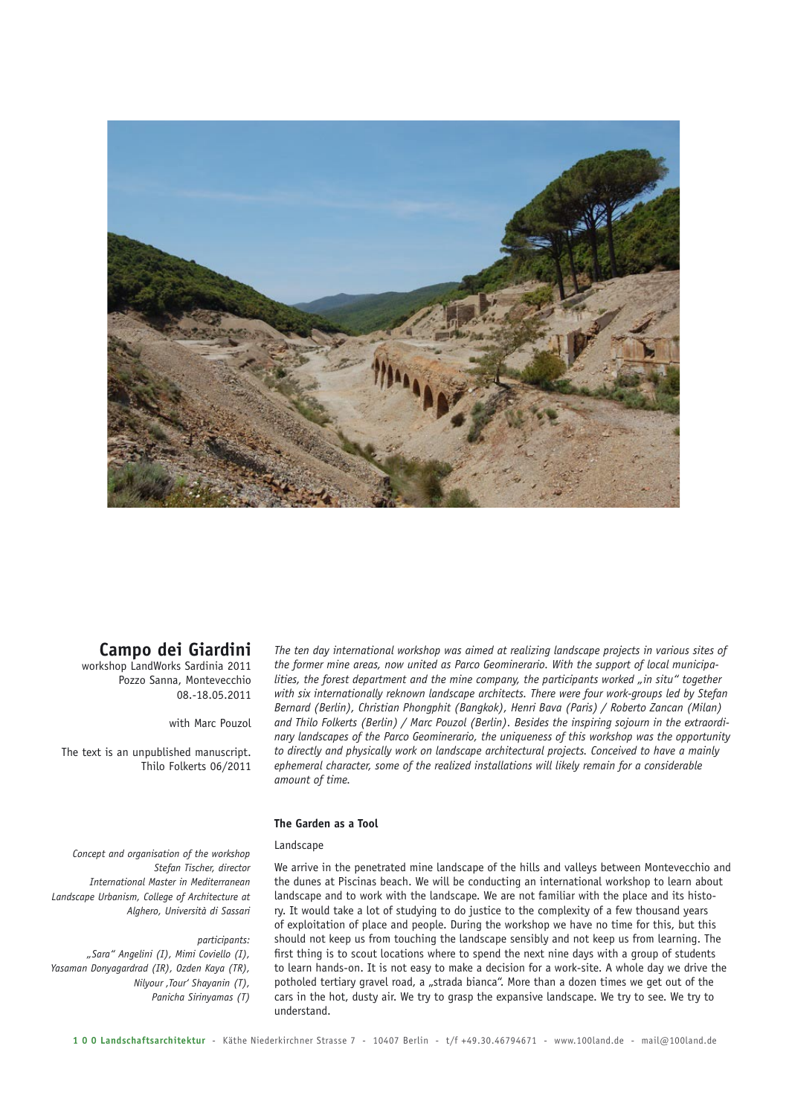

# **Campo dei Giardini**

workshop LandWorks Sardinia 2011 Pozzo Sanna, Montevecchio 08.-18.05.2011

with Marc Pouzol

The text is an unpublished manuscript. Thilo Folkerts 06/2011

*The ten day international workshop was aimed at realizing landscape projects in various sites of the former mine areas, now united as Parco Geominerario. With the support of local municipalities, the forest department and the mine company, the participants worked "in situ" together with six internationally reknown landscape architects. There were four work-groups led by Stefan Bernard (Berlin), Christian Phongphit (Bangkok), Henri Bava (Paris) / Roberto Zancan (Milan) and Thilo Folkerts (Berlin) / Marc Pouzol (Berlin). Besides the inspiring sojourn in the extraordinary landscapes of the Parco Geominerario, the uniqueness of this workshop was the opportunity to directly and physically work on landscape architectural projects. Conceived to have a mainly ephemeral character, some of the realized installations will likely remain for a considerable amount of time.*

# **The Garden as a Tool**

### Landscape

*Concept and organisation of the workshop Stefan Tischer, director International Master in Mediterranean Landscape Urbanism, College of Architecture at Alghero, Università di Sassari*

#### *participants:*

*"Sara" Angelini (I), Mimi Coviello (I), Yasaman Donyagardrad (IR), Ozden Kaya (TR), Nilyour 'Tour' Shayanin (T), Panicha Sirinyamas (T)*

We arrive in the penetrated mine landscape of the hills and valleys between Montevecchio and the dunes at Piscinas beach. We will be conducting an international workshop to learn about landscape and to work with the landscape. We are not familiar with the place and its history. It would take a lot of studying to do justice to the complexity of a few thousand years of exploitation of place and people. During the workshop we have no time for this, but this should not keep us from touching the landscape sensibly and not keep us from learning. The first thing is to scout locations where to spend the next nine days with a group of students to learn hands-on. It is not easy to make a decision for a work-site. A whole day we drive the potholed tertiary gravel road, a "strada bianca". More than a dozen times we get out of the cars in the hot, dusty air. We try to grasp the expansive landscape. We try to see. We try to understand.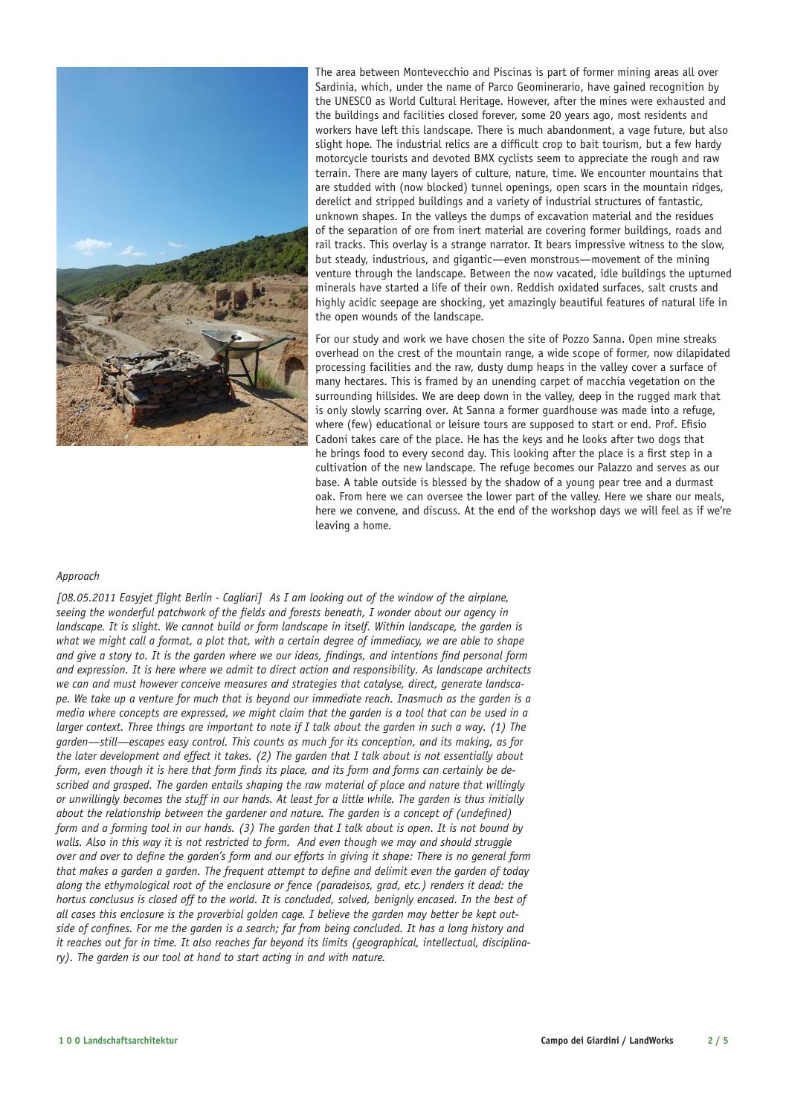

The area between Montevecchio and Piscinas is part of former mining areas all over Sardinia, which, under the name of Parco Geominerario, have gained recognition by the UNESCO as World Cultural Heritage. However, after the mines were exhausted and the buildings and facilities closed forever, some 20 years ago, most residents and workers have left this landscape. There is much abandonment, a vage future, but also slight hope. The industrial relics are a difficult crop to bait tourism, but a few hardy motorcycle tourists and devoted BMX cyclists seem to appreciate the rough and raw terrain. There are many layers of culture, nature, time. We encounter mountains that are studded with (now blocked) tunnel openings, open scars in the mountain ridges, derelict and stripped buildings and a variety of industrial structures of fantastic, unknown shapes. In the valleys the dumps of excavation material and the residues of the separation of ore from inert material are covering former buildings, roads and rail tracks. This overlay is a strange narrator. It bears impressive witness to the slow, but steady, industrious, and gigantic—even monstrous—movement of the mining venture through the landscape. Between the now vacated, idle buildings the upturned minerals have started a life of their own. Reddish oxidated surfaces, salt crusts and highly acidic seepage are shocking, yet amazingly beautiful features of natural life in the open wounds of the landscape.

For our study and work we have chosen the site of Pozzo Sanna. Open mine streaks overhead on the crest of the mountain range, a wide scope of former, now dilapidated processing facilities and the raw, dusty dump heaps in the valley cover a surface of many hectares. This is framed by an unending carpet of macchia vegetation on the surrounding hillsides. We are deep down in the valley, deep in the rugged mark that is only slowly scarring over. At Sanna a former guardhouse was made into a refuge, where (few) educational or leisure tours are supposed to start or end. Prof. Efisio Cadoni takes care of the place. He has the keys and he looks after two dogs that he brings food to every second day. This looking after the place is a first step in a cultivation of the new landscape. The refuge becomes our Palazzo and serves as our base. A table outside is blessed by the shadow of a young pear tree and a durmast oak. From here we can oversee the lower part of the valley. Here we share our meals, here we convene, and discuss. At the end of the workshop days we will feel as if we're leaving a home.

# *Approach*

*[08.05.2011 Easyjet flight Berlin - Cagliari] As I am looking out of the window of the airplane, seeing the wonderful patchwork of the fields and forests beneath, I wonder about our agency in landscape. It is slight. We cannot build or form landscape in itself. Within landscape, the garden is what we might call a format, a plot that, with a certain degree of immediacy, we are able to shape and give a story to. It is the garden where we our ideas, findings, and intentions find personal form and expression. It is here where we admit to direct action and responsibility. As landscape architects we can and must however conceive measures and strategies that catalyse, direct, generate landscape. We take up a venture for much that is beyond our immediate reach. Inasmuch as the garden is a media where concepts are expressed, we might claim that the garden is a tool that can be used in a larger context. Three things are important to note if I talk about the garden in such a way. (1) The garden—still—escapes easy control. This counts as much for its conception, and its making, as for the later development and effect it takes. (2) The garden that I talk about is not essentially about form, even though it is here that form finds its place, and its form and forms can certainly be described and grasped. The garden entails shaping the raw material of place and nature that willingly or unwillingly becomes the stuff in our hands. At least for a little while. The garden is thus initially about the relationship between the gardener and nature. The garden is a concept of (undefined) form and a forming tool in our hands. (3) The garden that I talk about is open. It is not bound by walls. Also in this way it is not restricted to form. And even though we may and should struggle over and over to define the garden's form and our efforts in giving it shape: There is no general form that makes a garden a garden. The frequent attempt to define and delimit even the garden of today along the ethymological root of the enclosure or fence (paradeisos, grad, etc.) renders it dead: the hortus conclusus is closed off to the world. It is concluded, solved, benignly encased. In the best of all cases this enclosure is the proverbial golden cage. I believe the garden may better be kept outside of confines. For me the garden is a search; far from being concluded. It has a long history and it reaches out far in time. It also reaches far beyond its limits (geographical, intellectual, disciplinary). The garden is our tool at hand to start acting in and with nature.*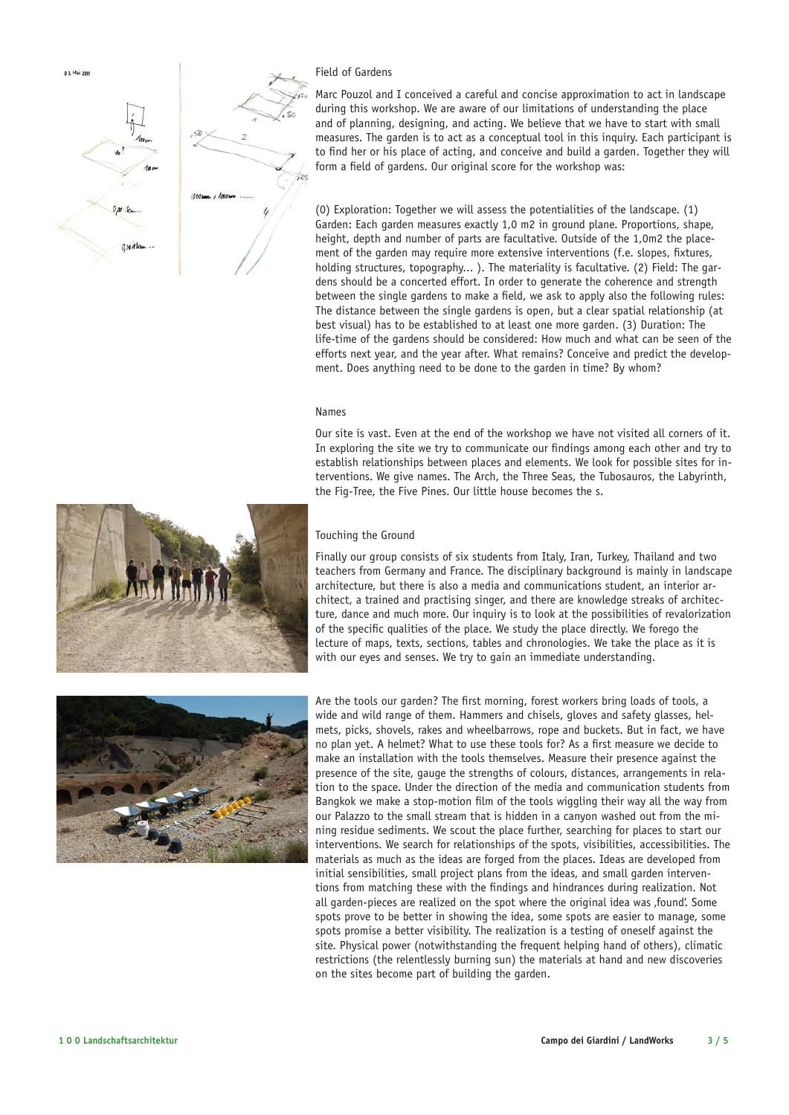

# Field of Gardens

Marc Pouzol and I conceived a careful and concise approximation to act in landscape during this workshop. We are aware of our limitations of understanding the place and of planning, designing, and acting. We believe that we have to start with small measures. The garden is to act as a conceptual tool in this inquiry. Each participant is to find her or his place of acting, and conceive and build a garden. Together they will form a field of gardens. Our original score for the workshop was:

(0) Exploration: Together we will assess the potentialities of the landscape. (1) Garden: Each garden measures exactly 1,0 m2 in ground plane. Proportions, shape, height, depth and number of parts are facultative. Outside of the 1,0m2 the placement of the garden may require more extensive interventions (f.e. slopes, fixtures, holding structures, topography... ). The materiality is facultative. (2) Field: The gardens should be a concerted effort. In order to generate the coherence and strength between the single gardens to make a field, we ask to apply also the following rules: The distance between the single gardens is open, but a clear spatial relationship (at best visual) has to be established to at least one more garden. (3) Duration: The life-time of the gardens should be considered: How much and what can be seen of the efforts next year, and the year after. What remains? Conceive and predict the development. Does anything need to be done to the garden in time? By whom?

### Names

Our site is vast. Even at the end of the workshop we have not visited all corners of it. In exploring the site we try to communicate our findings among each other and try to establish relationships between places and elements. We look for possible sites for interventions. We give names. The Arch, the Three Seas, the Tubosauros, the Labyrinth, the Fig-Tree, the Five Pines. Our little house becomes the s.

# Touching the Ground

Finally our group consists of six students from Italy, Iran, Turkey, Thailand and two teachers from Germany and France. The disciplinary background is mainly in landscape architecture, but there is also a media and communications student, an interior architect, a trained and practising singer, and there are knowledge streaks of architecture, dance and much more. Our inquiry is to look at the possibilities of revalorization of the specific qualities of the place. We study the place directly. We forego the lecture of maps, texts, sections, tables and chronologies. We take the place as it is with our eyes and senses. We try to gain an immediate understanding.



Are the tools our garden? The first morning, forest workers bring loads of tools, a wide and wild range of them. Hammers and chisels, gloves and safety glasses, helmets, picks, shovels, rakes and wheelbarrows, rope and buckets. But in fact, we have no plan yet. A helmet? What to use these tools for? As a first measure we decide to make an installation with the tools themselves. Measure their presence against the presence of the site, gauge the strengths of colours, distances, arrangements in relation to the space. Under the direction of the media and communication students from Bangkok we make a stop-motion film of the tools wiggling their way all the way from our Palazzo to the small stream that is hidden in a canyon washed out from the mining residue sediments. We scout the place further, searching for places to start our interventions. We search for relationships of the spots, visibilities, accessibilities. The materials as much as the ideas are forged from the places. Ideas are developed from initial sensibilities, small project plans from the ideas, and small garden interventions from matching these with the findings and hindrances during realization. Not all garden-pieces are realized on the spot where the original idea was , found'. Some spots prove to be better in showing the idea, some spots are easier to manage, some spots promise a better visibility. The realization is a testing of oneself against the site. Physical power (notwithstanding the frequent helping hand of others), climatic restrictions (the relentlessly burning sun) the materials at hand and new discoveries on the sites become part of building the garden.

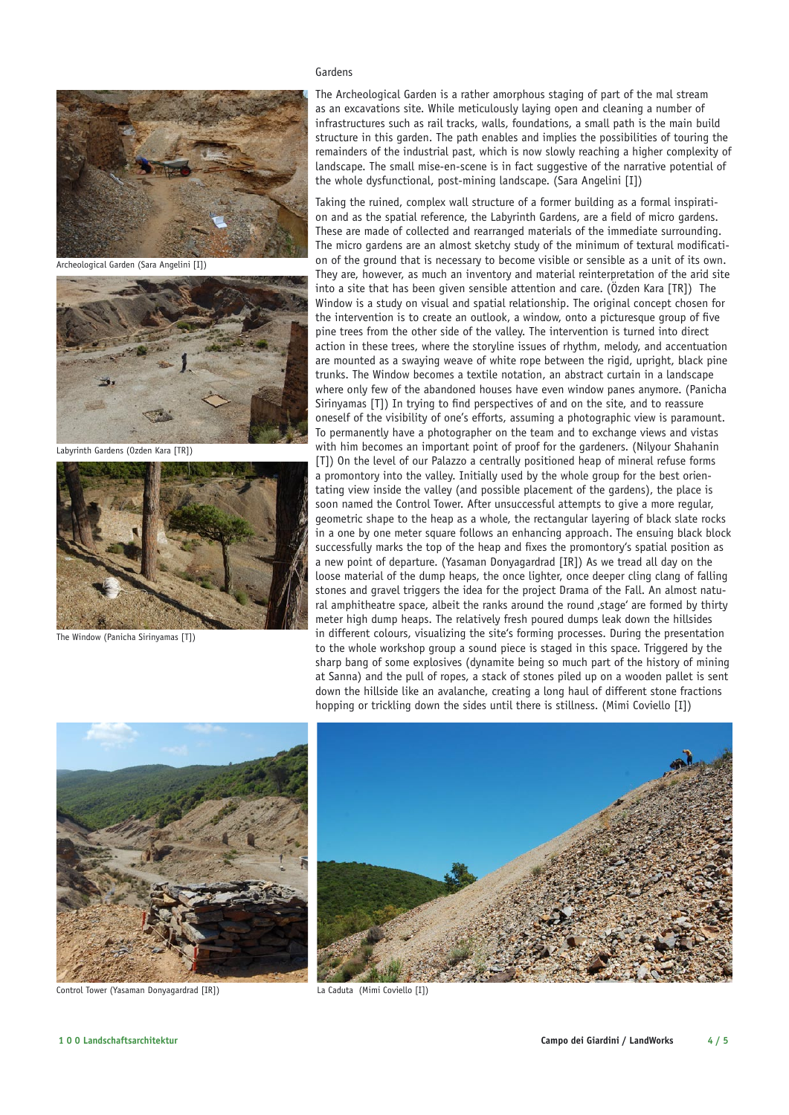

Archeological Garden (Sara Angelini [I])



Labyrinth Gardens (Ozden Kara [TR])



The Window (Panicha Sirinyamas [T])

# Gardens

The Archeological Garden is a rather amorphous staging of part of the mal stream as an excavations site. While meticulously laying open and cleaning a number of infrastructures such as rail tracks, walls, foundations, a small path is the main build structure in this garden. The path enables and implies the possibilities of touring the remainders of the industrial past, which is now slowly reaching a higher complexity of landscape. The small mise-en-scene is in fact suggestive of the narrative potential of the whole dysfunctional, post-mining landscape. (Sara Angelini [I])

Taking the ruined, complex wall structure of a former building as a formal inspiration and as the spatial reference, the Labyrinth Gardens, are a field of micro gardens. These are made of collected and rearranged materials of the immediate surrounding. The micro gardens are an almost sketchy study of the minimum of textural modification of the ground that is necessary to become visible or sensible as a unit of its own. They are, however, as much an inventory and material reinterpretation of the arid site into a site that has been given sensible attention and care. (Özden Kara [TR]) The Window is a study on visual and spatial relationship. The original concept chosen for the intervention is to create an outlook, a window, onto a picturesque group of five pine trees from the other side of the valley. The intervention is turned into direct action in these trees, where the storyline issues of rhythm, melody, and accentuation are mounted as a swaying weave of white rope between the rigid, upright, black pine trunks. The Window becomes a textile notation, an abstract curtain in a landscape where only few of the abandoned houses have even window panes anymore. (Panicha Sirinyamas [T]) In trying to find perspectives of and on the site, and to reassure oneself of the visibility of one's efforts, assuming a photographic view is paramount. To permanently have a photographer on the team and to exchange views and vistas with him becomes an important point of proof for the gardeners. (Nilyour Shahanin [T]) On the level of our Palazzo a centrally positioned heap of mineral refuse forms a promontory into the valley. Initially used by the whole group for the best orientating view inside the valley (and possible placement of the gardens), the place is soon named the Control Tower. After unsuccessful attempts to give a more regular, geometric shape to the heap as a whole, the rectangular layering of black slate rocks in a one by one meter square follows an enhancing approach. The ensuing black block successfully marks the top of the heap and fixes the promontory's spatial position as a new point of departure. (Yasaman Donyagardrad [IR]) As we tread all day on the loose material of the dump heaps, the once lighter, once deeper cling clang of falling stones and gravel triggers the idea for the project Drama of the Fall. An almost natural amphitheatre space, albeit the ranks around the round, stage' are formed by thirty meter high dump heaps. The relatively fresh poured dumps leak down the hillsides in different colours, visualizing the site's forming processes. During the presentation to the whole workshop group a sound piece is staged in this space. Triggered by the sharp bang of some explosives (dynamite being so much part of the history of mining at Sanna) and the pull of ropes, a stack of stones piled up on a wooden pallet is sent down the hillside like an avalanche, creating a long haul of different stone fractions hopping or trickling down the sides until there is stillness. (Mimi Coviello [I])



Control Tower (Yasaman Donyagardrad [IR])



La Caduta (Mimi Coviello [I])